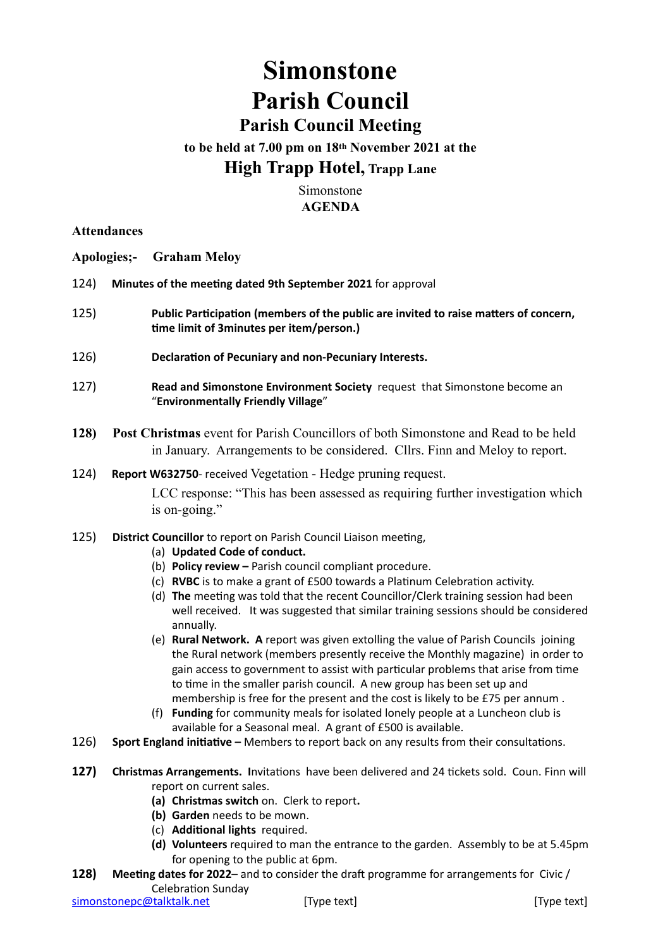## **Simonstone Parish Council Parish Council Meeting**

# **to be held at 7.00 pm on 18th November 2021 at the**

## **High Trapp Hotel, Trapp Lane**

Simonstone **AGENDA**

#### **Attendances**

**Apologies;- Graham Meloy**

- 124) **Minutes of the meeting dated 9th September 2021** for approval
- 125) **Public Participation (members of the public are invited to raise matters of concern, time limit of 3minutes per item/person.)**
- 126) **Declaration of Pecuniary and non-Pecuniary Interests.**
- 127) **Read and Simonstone Environment Society** request that Simonstone become an "**Environmentally Friendly Village**"
- **128) Post Christmas** event for Parish Councillors of both Simonstone and Read to be held in January. Arrangements to be considered. Cllrs. Finn and Meloy to report.
- 124) **Report W632750** received Vegetation Hedge pruning request.

LCC response: "This has been assessed as requiring further investigation which is on-going."

- 125) **District Councillor** to report on Parish Council Liaison meeting,
	- (a) **Updated Code of conduct.**
	- (b) **Policy review** Parish council compliant procedure.
	- (c) **RVBC** is to make a grant of £500 towards a Platinum Celebration activity.
	- (d) **The** meeting was told that the recent Councillor/Clerk training session had been well received. It was suggested that similar training sessions should be considered annually.
	- (e) **Rural Network. A** report was given extolling the value of Parish Councils joining the Rural network (members presently receive the Monthly magazine) in order to gain access to government to assist with particular problems that arise from time to time in the smaller parish council. A new group has been set up and membership is free for the present and the cost is likely to be £75 per annum .
	- (f) **Funding** for community meals for isolated lonely people at a Luncheon club is available for a Seasonal meal. A grant of £500 is available.
- 126) **Sport England initiative** Members to report back on any results from their consultations.
- **127) Christmas Arrangements. I**nvitations have been delivered and 24 tickets sold. Coun. Finn will report on current sales.
	- **(a) Christmas switch** on. Clerk to report**.**
	- **(b) Garden** needs to be mown.
	- (c) **Additional lights** required.
	- **(d) Volunteers** required to man the entrance to the garden. Assembly to be at 5.45pm for opening to the public at 6pm.
- **128) Meeting dates for 2022** and to consider the draft programme for arrangements for Civic / Celebration Sunday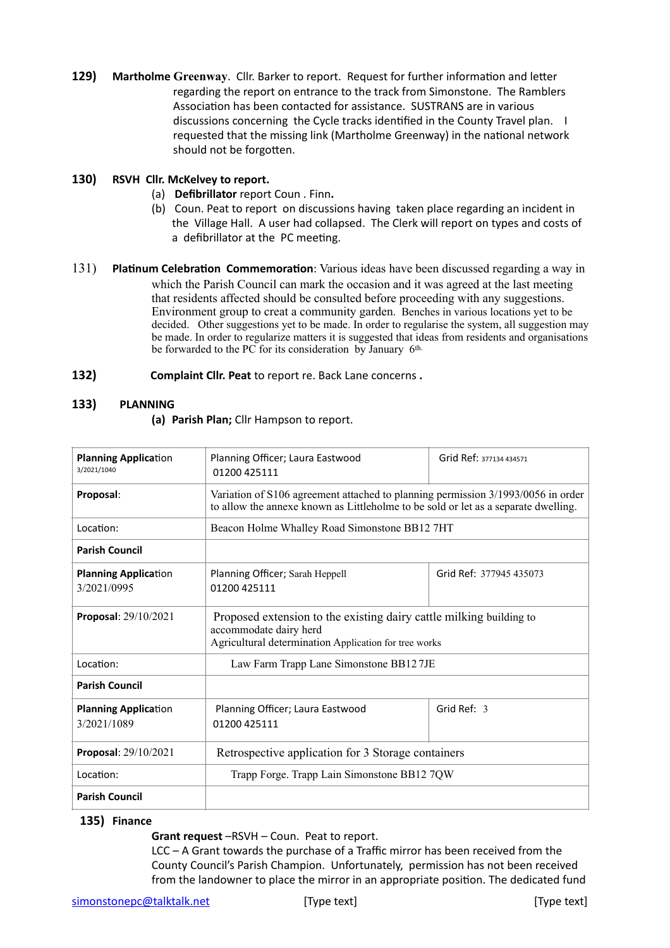**129) Martholme Greenway**. Cllr. Barker to report. Request for further information and letter regarding the report on entrance to the track from Simonstone. The Ramblers Association has been contacted for assistance. SUSTRANS are in various discussions concerning the Cycle tracks identified in the County Travel plan. I requested that the missing link (Martholme Greenway) in the national network should not be forgotten.

#### **130) RSVH Cllr. McKelvey to report.**

- (a) **Defibrillator** report Coun . Finn**.**
- (b) Coun. Peat to report on discussions having taken place regarding an incident in the Village Hall. A user had collapsed. The Clerk will report on types and costs of a defibrillator at the PC meeting.
- 131) **Platinum Celebration Commemoration**: Various ideas have been discussed regarding a way in which the Parish Council can mark the occasion and it was agreed at the last meeting that residents affected should be consulted before proceeding with any suggestions. Environment group to creat a community garden. Benches in various locations yet to be decided. Other suggestions yet to be made. In order to regularise the system, all suggestion may be made. In order to regularize matters it is suggested that ideas from residents and organisations be forwarded to the PC for its consideration by January 6th.
- **132) Complaint Cllr. Peat** to report re. Back Lane concerns **.**

#### **133) PLANNING**

**(a) Parish Plan;** Cllr Hampson to report.

| <b>Planning Application</b><br>3/2021/1040 | Planning Officer; Laura Eastwood<br>01200 425111                                                                                                                       | Grid Ref: 377134 434571 |
|--------------------------------------------|------------------------------------------------------------------------------------------------------------------------------------------------------------------------|-------------------------|
| Proposal:                                  | Variation of S106 agreement attached to planning permission 3/1993/0056 in order<br>to allow the annexe known as Littleholme to be sold or let as a separate dwelling. |                         |
| Location:                                  | Beacon Holme Whalley Road Simonstone BB12 7HT                                                                                                                          |                         |
| <b>Parish Council</b>                      |                                                                                                                                                                        |                         |
| <b>Planning Application</b><br>3/2021/0995 | Planning Officer; Sarah Heppell<br>01200 425111                                                                                                                        | Grid Ref: 377945 435073 |
| <b>Proposal:</b> $29/10/2021$              | Proposed extension to the existing dairy cattle milking building to<br>accommodate dairy herd<br>Agricultural determination Application for tree works                 |                         |
| Location:                                  | Law Farm Trapp Lane Simonstone BB127JE                                                                                                                                 |                         |
| <b>Parish Council</b>                      |                                                                                                                                                                        |                         |
| <b>Planning Application</b><br>3/2021/1089 | Planning Officer; Laura Eastwood<br>01200 425111                                                                                                                       | Grid Ref: 3             |
| Proposal: 29/10/2021                       | Retrospective application for 3 Storage containers                                                                                                                     |                         |
| Location:                                  | Trapp Forge. Trapp Lain Simonstone BB12 7QW                                                                                                                            |                         |
| <b>Parish Council</b>                      |                                                                                                                                                                        |                         |

#### **135) Finance**

**Grant request** –RSVH – Coun. Peat to report.

LCC – A Grant towards the purchase of a Traffic mirror has been received from the County Council's Parish Champion. Unfortunately, permission has not been received from the landowner to place the mirror in an appropriate position. The dedicated fund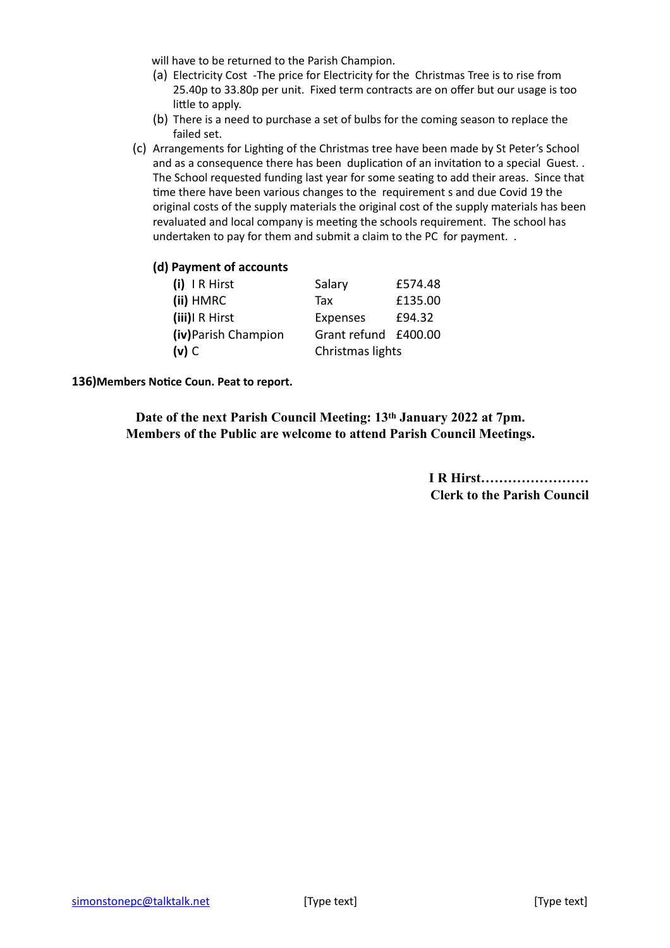will have to be returned to the Parish Champion.

- (a) Electricity Cost -The price for Electricity for the Christmas Tree is to rise from 25.40p to 33.80p per unit. Fixed term contracts are on offer but our usage is too little to apply.
- (b) There is a need to purchase a set of bulbs for the coming season to replace the failed set.
- (c) Arrangements for Lighting of the Christmas tree have been made by St Peter's School and as a consequence there has been duplication of an invitation to a special Guest. . The School requested funding last year for some seating to add their areas. Since that time there have been various changes to the requirement s and due Covid 19 the original costs of the supply materials the original cost of the supply materials has been revaluated and local company is meeting the schools requirement. The school has undertaken to pay for them and submit a claim to the PC for payment. .

#### **(d) Payment of accounts**

| (i) IR Hirst         | Salary               | £574.48 |
|----------------------|----------------------|---------|
| (ii) HMRC            | Tax                  | £135.00 |
| (iii) R Hirst        | Expenses             | £94.32  |
| (iv) Parish Champion | Grant refund £400.00 |         |
| $(v)$ C              | Christmas lights     |         |

**136)Members Notice Coun. Peat to report.**

**Date of the next Parish Council Meeting: 13th January 2022 at 7pm. Members of the Public are welcome to attend Parish Council Meetings.**

> **I R Hirst…………………… Clerk to the Parish Council**